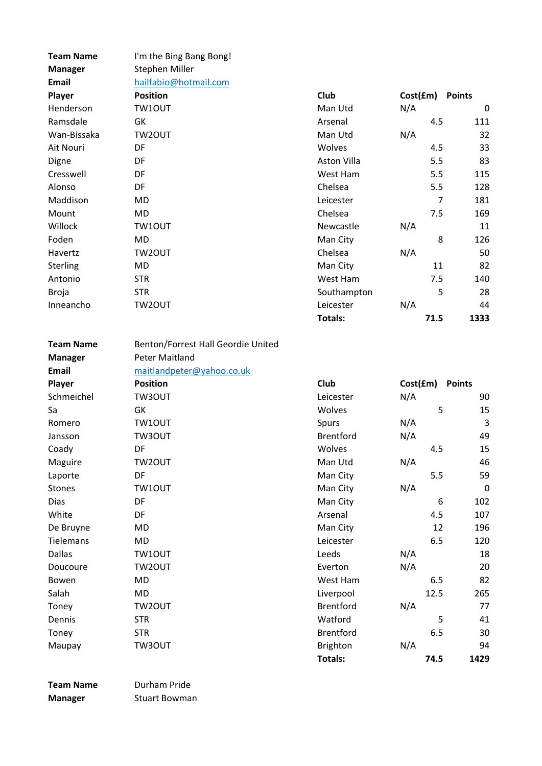| <b>Team Name</b>               | I'm the Bing Bang Bong!                      |                    |          |                       |
|--------------------------------|----------------------------------------------|--------------------|----------|-----------------------|
| <b>Manager</b>                 | Stephen Miller                               |                    |          |                       |
| Email                          | hailfabio@hotmail.com                        |                    |          |                       |
| Player                         | <b>Position</b>                              | Club               | Cost(fm) | <b>Points</b>         |
| Henderson                      | TW10UT                                       | Man Utd            | N/A      | 0                     |
| Ramsdale                       | GK                                           | Arsenal            | 4.5      | 111                   |
| Wan-Bissaka                    | TW2OUT                                       | Man Utd            | N/A      | 32                    |
| Ait Nouri                      | DF                                           | Wolves             | 4.5      | 33                    |
| Digne                          | DF                                           | <b>Aston Villa</b> | 5.5      | 83                    |
| Cresswell                      | DF                                           | West Ham           | 5.5      | 115                   |
| Alonso                         | DF                                           | Chelsea            | 5.5      | 128                   |
| Maddison                       | <b>MD</b>                                    | Leicester          |          | $\overline{7}$<br>181 |
| Mount                          | <b>MD</b>                                    | Chelsea            | 7.5      | 169                   |
| Willock                        | TW1OUT                                       | Newcastle          | N/A      | 11                    |
| Foden                          | <b>MD</b>                                    | Man City           |          | 8<br>126              |
| Havertz                        | TW2OUT                                       | Chelsea            | N/A      | 50                    |
| Sterling                       | <b>MD</b>                                    | Man City           | 11       | 82                    |
| Antonio                        | <b>STR</b>                                   | West Ham           | 7.5      | 140                   |
| <b>Broja</b>                   | <b>STR</b>                                   | Southampton        |          | 5<br>28               |
| Inneancho                      | TW2OUT                                       | Leicester          | N/A      | 44                    |
|                                |                                              | <b>Totals:</b>     | 71.5     | 1333                  |
| <b>Team Name</b>               | Benton/Forrest Hall Geordie United           |                    |          |                       |
|                                | <b>Peter Maitland</b>                        |                    |          |                       |
| <b>Manager</b><br><b>Email</b> |                                              |                    |          |                       |
|                                | maitlandpeter@yahoo.co.uk<br><b>Position</b> | Club               |          |                       |
| Player                         |                                              |                    |          |                       |
|                                |                                              |                    | Cost(£m) | <b>Points</b>         |
| Schmeichel                     | TW3OUT                                       | Leicester          | N/A      | 90                    |
| Sa                             | GK                                           | Wolves             |          | 5<br>15               |
| Romero                         | TW10UT                                       | Spurs              | N/A      | 3                     |
| Jansson                        | TW3OUT                                       | <b>Brentford</b>   | N/A      | 49                    |
| Coady                          | DF                                           | Wolves             | 4.5      | 15                    |
| Maguire                        | TW2OUT                                       | Man Utd            | N/A      | 46                    |
| Laporte                        | DF                                           | Man City           | 5.5      | 59                    |
| <b>Stones</b>                  | TW10UT                                       | Man City           | N/A      | $\mathbf 0$           |
| Dias                           | DF                                           | Man City           |          | 6<br>102              |
| White                          | DF                                           | Arsenal            | 4.5      | 107                   |
| De Bruyne                      | <b>MD</b>                                    | Man City           | 12       | 196                   |
| Tielemans                      | <b>MD</b>                                    | Leicester          | 6.5      | 120                   |
| <b>Dallas</b>                  | TW10UT                                       | Leeds              | N/A      | 18                    |
| Doucoure                       | TW2OUT                                       | Everton            | N/A      | 20                    |
| Bowen                          | <b>MD</b>                                    | West Ham           | 6.5      | 82                    |
| Salah                          | <b>MD</b>                                    | Liverpool          | 12.5     | 265                   |
| Toney                          | TW2OUT                                       | <b>Brentford</b>   | N/A      | 77                    |
| Dennis                         | <b>STR</b>                                   | Watford            |          | 5<br>41               |
| Toney                          | <b>STR</b>                                   | <b>Brentford</b>   | 6.5      | 30                    |
| Maupay                         | TW3OUT                                       | Brighton           | N/A      | 94                    |
|                                |                                              | Totals:            | 74.5     | 1429                  |

Team Name Durham Pride Manager Stuart Bowman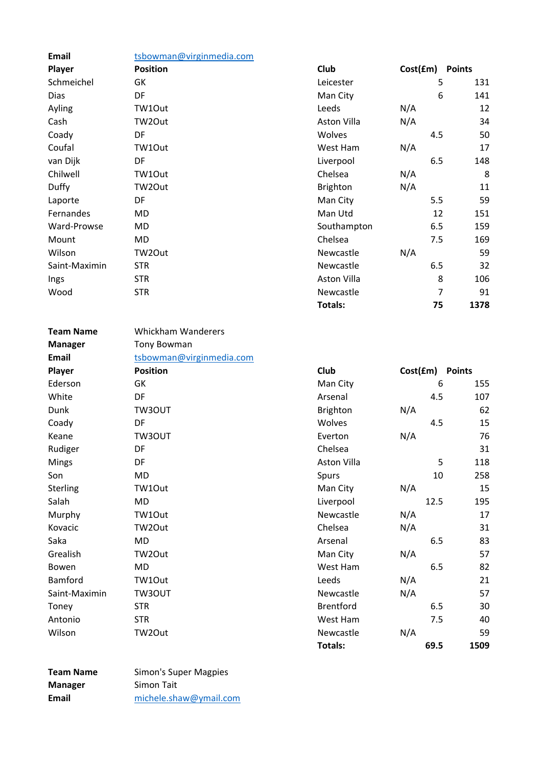| <b>Email</b>  | tsbowman@virginmedia.com |             |          |               |    |
|---------------|--------------------------|-------------|----------|---------------|----|
| Player        | <b>Position</b>          | Club        | Cost(fm) | <b>Points</b> |    |
| Schmeichel    | GK                       | Leicester   |          | 5<br>131      |    |
| Dias          | DF                       | Man City    |          | 6<br>141      |    |
| Ayling        | TW1Out                   | Leeds       | N/A      |               | 12 |
| Cash          | TW2Out                   | Aston Villa | N/A      |               | 34 |
| Coady         | DF                       | Wolves      |          | 4.5           | 50 |
| Coufal        | TW1Out                   | West Ham    | N/A      |               | 17 |
| van Dijk      | DF                       | Liverpool   |          | 6.5<br>148    |    |
| Chilwell      | TW1Out                   | Chelsea     | N/A      |               | 8  |
| Duffy         | TW2Out                   | Brighton    | N/A      |               | 11 |
| Laporte       | DF                       | Man City    |          | 5.5           | 59 |
| Fernandes     | MD.                      | Man Utd     |          | 12<br>151     |    |
| Ward-Prowse   | MD                       | Southampton |          | 6.5<br>159    |    |
| Mount         | MD                       | Chelsea     |          | 7.5<br>169    |    |
| Wilson        | TW2Out                   | Newcastle   | N/A      |               | 59 |
| Saint-Maximin | <b>STR</b>               | Newcastle   |          | 6.5           | 32 |
| Ings          | <b>STR</b>               | Aston Villa |          | 8<br>106      |    |
| Wood          | <b>STR</b>               | Newcastle   |          | 7<br>91       |    |
|               |                          | Totals:     |          | 75<br>1378    |    |

Team Name Whickham Wanderers Manager **Tony Bowman** Email tsbowman@virginmedia.com Player Position Position Club Cost(£m) Points Ederson GK GK Man City 6 155 White **DF** DF **Arsenal** 4.5 107 Dunk TW3OUT **Brighton** N/A 62 Coady DF DF Wolves 4.5 15 Keane TW3OUT Everton N/A 76 Rudiger **DF** DF Chelsea Chelsea Mings **DF** DF **Aston Villa** 25 118 Son MD MD Spurs 10 258 Sterling TW1Out **TW1Out Man City** Man City N/A 15 Salah MD MD Liverpool 12.5 195 Murphy TW1Out **Newcastle** N/A 17 Kovacic TW2Out Chelsea N/A 31 Saka 6.5 MD **Arsenal** 6.5 83 Grealish TW2Out **TW2Out** Man City Man City N/A 57 Bowen MD MD West Ham 6.5 82 Bamford TW1Out **TW1Out** CONTROLLER TW1Out 21 Saint-Maximin TW3OUT Newcastle N/A 57 Toney 6.5 STR STR STR Brentford 6.5 30 Antonio STR West Ham 7.5 40 Wilson TW2Out **Newcastle** N/A 59 Totals: 69.5 1509

| <b>Team Name</b> | Simon's Super Magpies  |
|------------------|------------------------|
| Manager          | Simon Tait             |
| Email            | michele.shaw@ymail.com |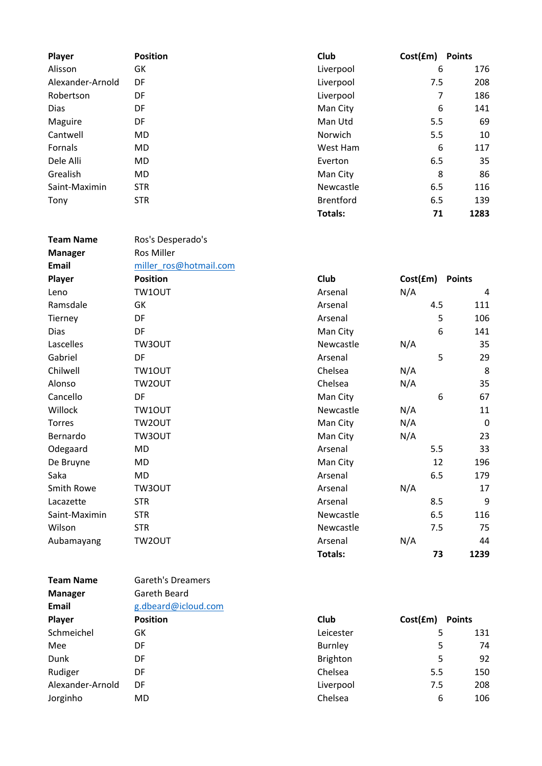| Player           | <b>Position</b> | Club             | Cost(fm) | <b>Points</b> |
|------------------|-----------------|------------------|----------|---------------|
| Alisson          | GK              | Liverpool        | 6        | 176           |
| Alexander-Arnold | DF              | Liverpool        | 7.5      | 208           |
| Robertson        | DF              | Liverpool        | 7        | 186           |
| Dias             | DF              | Man City         | 6        | 141           |
| Maguire          | DF              | Man Utd          | 5.5      | 69            |
| Cantwell         | <b>MD</b>       | <b>Norwich</b>   | 5.5      | 10            |
| Fornals          | <b>MD</b>       | West Ham         | 6        | 117           |
| Dele Alli        | <b>MD</b>       | Everton          | 6.5      | 35            |
| Grealish         | MD              | Man City         | 8        | 86            |
| Saint-Maximin    | <b>STR</b>      | Newcastle        | 6.5      | 116           |
| Tony             | <b>STR</b>      | <b>Brentford</b> | 6.5      | 139           |
|                  |                 | <b>Totals:</b>   | 71       | 1283          |

| <b>Team Name</b> | Ros's Desperado's      |                |          |               |
|------------------|------------------------|----------------|----------|---------------|
| <b>Manager</b>   | Ros Miller             |                |          |               |
| Email            | miller ros@hotmail.com |                |          |               |
| Player           | <b>Position</b>        | Club           | Cost(fm) | <b>Points</b> |
| Leno             | TW10UT                 | Arsenal        | N/A      | 4             |
| Ramsdale         | GK                     | Arsenal        | 4.5      | 111           |
| Tierney          | DF                     | Arsenal        |          | 5<br>106      |
| Dias             | DF                     | Man City       |          | 6<br>141      |
| Lascelles        | TW3OUT                 | Newcastle      | N/A      | 35            |
| Gabriel          | DF                     | Arsenal        |          | 5<br>29       |
| Chilwell         | TW10UT                 | Chelsea        | N/A      | 8             |
| Alonso           | TW2OUT                 | Chelsea        | N/A      | 35            |
| Cancello         | DF                     | Man City       |          | 6<br>67       |
| Willock          | TW10UT                 | Newcastle      | N/A      | 11            |
| <b>Torres</b>    | TW2OUT                 | Man City       | N/A      | $\mathbf 0$   |
| Bernardo         | TW3OUT                 | Man City       | N/A      | 23            |
| Odegaard         | MD                     | Arsenal        | 5.5      | 33            |
| De Bruyne        | MD                     | Man City       | 12       | 196           |
| Saka             | <b>MD</b>              | Arsenal        | 6.5      | 179           |
| Smith Rowe       | TW3OUT                 | Arsenal        | N/A      | 17            |
| Lacazette        | <b>STR</b>             | Arsenal        | 8.5      | 9             |
| Saint-Maximin    | <b>STR</b>             | Newcastle      | 6.5      | 116           |
| Wilson           | <b>STR</b>             | Newcastle      | 7.5      | 75            |
| Aubamayang       | TW2OUT                 | Arsenal        | N/A      | 44            |
|                  |                        | <b>Totals:</b> | 73       | 1239          |

| <b>Team Name</b> | Gareth's Dreamers   |             |          |               |
|------------------|---------------------|-------------|----------|---------------|
| <b>Manager</b>   | Gareth Beard        |             |          |               |
| Email            | g.dbeard@icloud.com |             |          |               |
| Player           | <b>Position</b>     | <b>Club</b> | Cost(fm) | <b>Points</b> |
| Schmeichel       | GK                  | Leicester   | 5        | 131           |
| Mee              | DF                  | Burnley     | 5        | 74            |
| Dunk             | DF                  | Brighton    | 5        | 92            |
| Rudiger          | DF                  | Chelsea     | 5.5      | 150           |
| Alexander-Arnold | DF                  | Liverpool   | 7.5      | 208           |
| Jorginho         | MD                  | Chelsea     | 6        | 106           |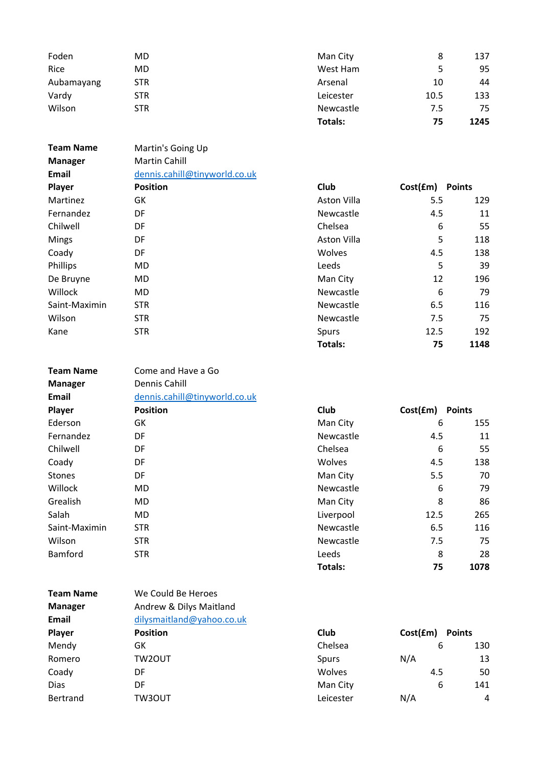| Foden      | MD.        | Man City       | 8    | 137  |
|------------|------------|----------------|------|------|
| Rice       | MD         | West Ham       |      | 95   |
| Aubamayang | STR.       | Arsenal        | 10   | 44   |
| Vardy      | STR.       | Leicester      | 10.5 | 133  |
| Wilson     | <b>STR</b> | Newcastle      | 7.5  | 75   |
|            |            | <b>Totals:</b> | 75   | 1245 |

Team Name Martin's Going Up

Team Name Come and Have a Go

| <b>Manager</b> | <b>Martin Cahill</b>          |             |          |               |
|----------------|-------------------------------|-------------|----------|---------------|
| Email          | dennis.cahill@tinyworld.co.uk |             |          |               |
| Player         | <b>Position</b>               | <b>Club</b> | Cost(fm) | <b>Points</b> |
| Martinez       | GK                            | Aston Villa | 5.5      | 129           |
| Fernandez      | DF                            | Newcastle   | 4.5      | 11            |
| Chilwell       | DF                            | Chelsea     | 6        | 55            |
| <b>Mings</b>   | DF                            | Aston Villa | 5        | 118           |
| Coady          | DF                            | Wolves      | 4.5      | 138           |
| Phillips       | MD                            | Leeds       | 5        | 39            |
| De Bruyne      | MD.                           | Man City    | 12       | 196           |
| Willock        | MD.                           | Newcastle   | 6        | 79            |
| Saint-Maximin  | <b>STR</b>                    | Newcastle   | 6.5      | 116           |
| Wilson         | <b>STR</b>                    | Newcastle   | 7.5      | 75            |
| Kane           | <b>STR</b>                    | Spurs       | 12.5     | 192           |
|                |                               | Totals:     | 75       | 1148          |

| <b>Manager</b> | Dennis Cahill                 |             |          |               |
|----------------|-------------------------------|-------------|----------|---------------|
| Email          | dennis.cahill@tinyworld.co.uk |             |          |               |
| Player         | <b>Position</b>               | <b>Club</b> | Cost(fm) | <b>Points</b> |
| Ederson        | GK                            | Man City    | 6        | 155           |
| Fernandez      | DF                            | Newcastle   | 4.5      | 11            |
| Chilwell       | DF                            | Chelsea     | 6        | 55            |
| Coady          | DF                            | Wolves      | 4.5      | 138           |
| <b>Stones</b>  | DF                            | Man City    | 5.5      | 70            |
| Willock        | MD.                           | Newcastle   | 6        | 79            |
| Grealish       | MD.                           | Man City    | 8        | 86            |
| Salah          | MD.                           | Liverpool   | 12.5     | 265           |
| Saint-Maximin  | <b>STR</b>                    | Newcastle   | 6.5      | 116           |
| Wilson         | <b>STR</b>                    | Newcastle   | 7.5      | 75            |
| Bamford        | <b>STR</b>                    | Leeds       | 8        | 28            |

Totals: 75 1078

| <b>Team Name</b> | We Could Be Heroes        |           |          |               |
|------------------|---------------------------|-----------|----------|---------------|
| <b>Manager</b>   | Andrew & Dilys Maitland   |           |          |               |
| Email            | dilysmaitland@yahoo.co.uk |           |          |               |
| Player           | <b>Position</b>           | Club      | Cost(fm) | <b>Points</b> |
| Mendy            | GK                        | Chelsea   |          | 130<br>6      |
| Romero           | TW2OUT                    | Spurs     | N/A      | 13            |
| Coady            | DF                        | Wolves    | 4.5      | 50            |
| <b>Dias</b>      | DF                        | Man City  |          | 6<br>141      |
| <b>Bertrand</b>  | TW3OUT                    | Leicester | N/A      | 4             |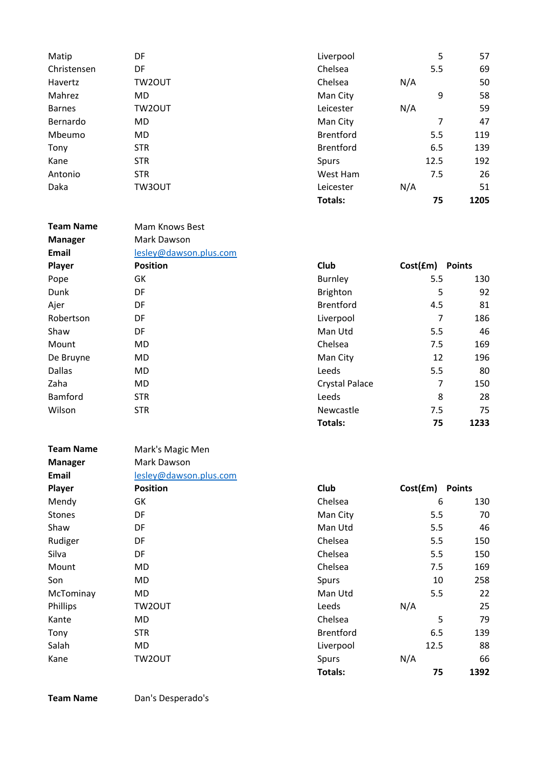| Matip         | DF         | Liverpool        | 5    | 57   |
|---------------|------------|------------------|------|------|
| Christensen   | DF         | Chelsea          | 5.5  | 69   |
| Havertz       | TW2OUT     | Chelsea          | N/A  | 50   |
| Mahrez        | MD.        | Man City         | 9    | 58   |
| <b>Barnes</b> | TW2OUT     | Leicester        | N/A  | 59   |
| Bernardo      | MD.        | Man City         | 7    | 47   |
| Mbeumo        | MD.        | <b>Brentford</b> | 5.5  | 119  |
| Tony          | <b>STR</b> | <b>Brentford</b> | 6.5  | 139  |
| Kane          | <b>STR</b> | <b>Spurs</b>     | 12.5 | 192  |
| Antonio       | <b>STR</b> | West Ham         | 7.5  | 26   |
| Daka          | TW3OUT     | Leicester        | N/A  | 51   |
|               |            | Totals:          | 75   | 1205 |

| <b>Team Name</b> | Mam Knows Best         |                       |           |               |
|------------------|------------------------|-----------------------|-----------|---------------|
| <b>Manager</b>   | Mark Dawson            |                       |           |               |
| <b>Email</b>     | lesley@dawson.plus.com |                       |           |               |
| Player           | <b>Position</b>        | Club                  | Cost(fm)  | <b>Points</b> |
| Pope             | GK                     | Burnley               | 5.5       | 130           |
| Dunk             | DF                     | <b>Brighton</b>       | 5         | 92            |
| Ajer             | DF                     | <b>Brentford</b>      | 4.5       | 81            |
| Robertson        | DF                     | Liverpool             | 7         | 186           |
| Shaw             | DF                     | Man Utd               | 5.5       | 46            |
| Mount            | MD                     | Chelsea               | 7.5       | 169           |
| De Bruyne        | MD.                    | Man City              | 12        | 196           |
| <b>Dallas</b>    | MD.                    | Leeds                 | 5.5       | 80            |
| Zaha             | MD.                    | <b>Crystal Palace</b> | 7         | 150           |
| Bamford          | STR.                   | Leeds                 | 8         | 28            |
| Wilson           | <b>STR</b>             | Newcastle             | 7.5       | 75            |
|                  |                        | Totalc:               | <b>75</b> | 1722          |

| <b>Team Name</b> | Mark's Magic Men       |                  |          |               |
|------------------|------------------------|------------------|----------|---------------|
| <b>Manager</b>   | Mark Dawson            |                  |          |               |
| Email            | lesley@dawson.plus.com |                  |          |               |
| Player           | <b>Position</b>        | Club             | Cost(fm) | <b>Points</b> |
| Mendy            | GK                     | Chelsea          | 6        | 130           |
| <b>Stones</b>    | DF                     | Man City         | 5.5      | 70            |
| Shaw             | DF                     | Man Utd          | 5.5      | 46            |
| Rudiger          | DF                     | Chelsea          | 5.5      | 150           |
| Silva            | DF                     | Chelsea          | 5.5      | 150           |
| Mount            | MD                     | Chelsea          | 7.5      | 169           |
| Son              | MD                     | Spurs            | 10       | 258           |
| McTominay        | MD                     | Man Utd          | 5.5      | 22            |
| Phillips         | TW2OUT                 | Leeds            | N/A      | 25            |
| Kante            | MD                     | Chelsea          | 5        | 79            |
| Tony             | <b>STR</b>             | <b>Brentford</b> | 6.5      | 139           |
| Salah            | MD                     | Liverpool        | 12.5     | 88            |
| Kane             | TW2OUT                 | Spurs            | N/A      | 66            |

| Club                  | Cost(£m) | <b>Points</b> |
|-----------------------|----------|---------------|
| <b>Burnley</b>        | 5.5      | 130           |
| <b>Brighton</b>       | 5        | 92            |
| <b>Brentford</b>      | 4.5      | 81            |
| Liverpool             | 7        | 186           |
| Man Utd               | 5.5      | 46            |
| Chelsea               | 7.5      | 169           |
| Man City              | 12       | 196           |
| Leeds                 | 5.5      | 80            |
| <b>Crystal Palace</b> | 7        | 150           |
| Leeds                 | 8        | 28            |
| Newcastle             | 7.5      | 75            |
| Totals:               | 75       | 1233          |

| Club             | Cost(£m) | <b>Points</b> |
|------------------|----------|---------------|
| Chelsea          | 6        | 130           |
| Man City         | 5.5      | 70            |
| Man Utd          | 5.5      | 46            |
| Chelsea          | 5.5      | 150           |
| Chelsea          | 5.5      | 150           |
| Chelsea          | 7.5      | 169           |
| Spurs            | 10       | 258           |
| Man Utd          | 5.5      | 22            |
| Leeds            | N/A      | 25            |
| Chelsea          | 5        | 79            |
| <b>Brentford</b> | 6.5      | 139           |
| Liverpool        | 12.5     | 88            |
| Spurs            | N/A      | 66            |
| Totals:          | 75       | 1392          |

Team Name Dan's Desperado's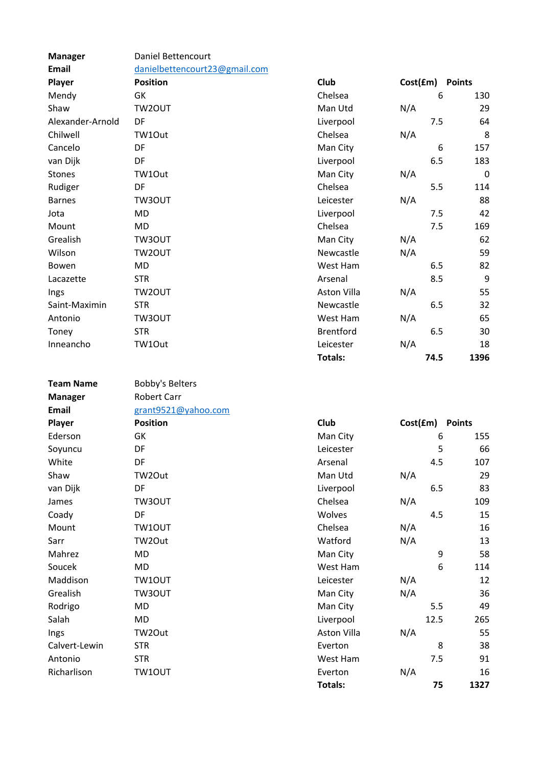| <b>Manager</b>   | Daniel Bettencourt            |                  |                 |             |
|------------------|-------------------------------|------------------|-----------------|-------------|
| <b>Email</b>     | danielbettencourt23@gmail.com |                  |                 |             |
| Player           | <b>Position</b>               | Club             | Cost(£m) Points |             |
| Mendy            | GK                            | Chelsea          | 6               | 130         |
| Shaw             | TW2OUT                        | Man Utd          | N/A             | 29          |
| Alexander-Arnold | DF                            | Liverpool        | 7.5             | 64          |
| Chilwell         | TW1Out                        | Chelsea          | N/A             | 8           |
| Cancelo          | DF                            | Man City         | 6               | 157         |
| van Dijk         | DF                            | Liverpool        | 6.5             | 183         |
| Stones           | TW1Out                        | Man City         | N/A             | $\mathbf 0$ |
| Rudiger          | DF                            | Chelsea          | 5.5             | 114         |
| <b>Barnes</b>    | TW3OUT                        | Leicester        | N/A             | 88          |
| Jota             | <b>MD</b>                     | Liverpool        | 7.5             | 42          |
| Mount            | <b>MD</b>                     | Chelsea          | 7.5             | 169         |
| Grealish         | TW3OUT                        | Man City         | N/A             | 62          |
| Wilson           | TW2OUT                        | Newcastle        | N/A             | 59          |
| Bowen            | MD                            | West Ham         | 6.5             | 82          |
| Lacazette        | <b>STR</b>                    | Arsenal          | 8.5             | 9           |
| Ings             | TW2OUT                        | Aston Villa      | N/A             | 55          |
| Saint-Maximin    | <b>STR</b>                    | Newcastle        | 6.5             | 32          |
| Antonio          | TW3OUT                        | West Ham         | N/A             | 65          |
| Toney            | <b>STR</b>                    | <b>Brentford</b> | 6.5             | 30          |
| Inneancho        | TW1Out                        | Leicester        | N/A             | 18          |
|                  |                               | <b>Totals:</b>   | 74.5            | 1396        |
|                  |                               |                  |                 |             |
| <b>Team Name</b> | <b>Bobby's Belters</b>        |                  |                 |             |
| <b>Manager</b>   | <b>Robert Carr</b>            |                  |                 |             |
| <b>Email</b>     | grant9521@yahoo.com           |                  |                 |             |
| Player           | <b>Position</b>               | <b>Club</b>      | Cost(£m) Points |             |
| Ederson          | GK                            | Man City         | 6               | 155         |
| Soyuncu          | DF                            | Leicester        | 5               | 66          |
| White            | DF                            | Arsenal          | 4.5             | 107         |
| Shaw             | TW2Out                        | Man Utd          | N/A             | 29          |
| van Dijk         | DF                            | Liverpool        | 6.5             | 83          |
| James            | TW3OUT                        | Chelsea          | N/A             | 109         |
| Coady            | DF                            | Wolves           | 4.5             | 15          |
| Mount            | TW10UT                        | Chelsea          | N/A             | 16          |
| Sarr             | TW2Out                        | Watford          | N/A             | 13          |
| Mahrez           | MD                            | Man City         | 9               | 58          |
| Soucek           | <b>MD</b>                     | West Ham         | 6               | 114         |
| Maddison         | TW10UT                        | Leicester        | N/A             | 12          |
| Grealish         | TW3OUT                        | Man City         | N/A             | 36          |
| Rodrigo          | MD                            | Man City         | 5.5             | 49          |
| Salah            | MD                            | Liverpool        | 12.5            | 265         |
| Ings             | TW2Out                        | Aston Villa      | N/A             | 55          |
| Calvert-Lewin    | <b>STR</b>                    | Everton          | 8               | 38          |
| Antonio          | <b>STR</b>                    | West Ham         | 7.5             | 91          |
| Richarlison      |                               |                  |                 |             |
|                  | TW10UT                        | Everton          | N/A             | 16          |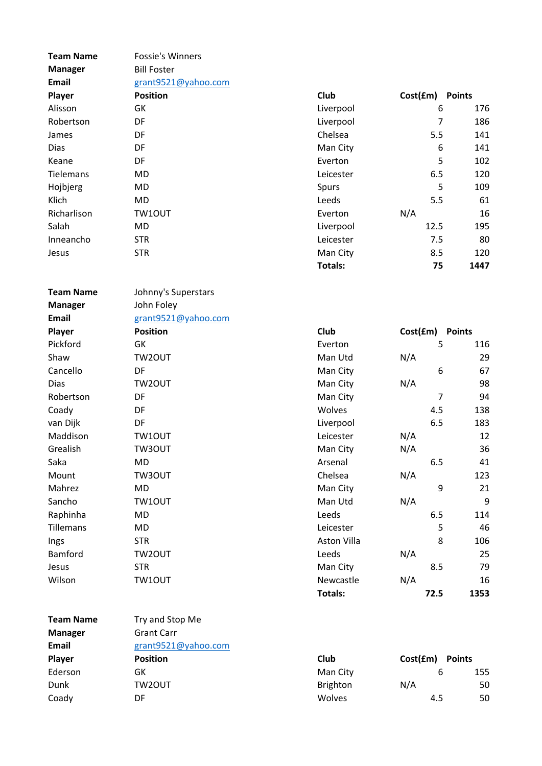| <b>Team Name</b> | <b>Fossie's Winners</b> |                 |                 |               |
|------------------|-------------------------|-----------------|-----------------|---------------|
| <b>Manager</b>   | <b>Bill Foster</b>      |                 |                 |               |
| Email            | grant9521@yahoo.com     |                 |                 |               |
| Player           | <b>Position</b>         | Club            | Cost(fm)        | <b>Points</b> |
| Alisson          | GK                      | Liverpool       | 6               | 176           |
| Robertson        | DF                      | Liverpool       | 7               | 186           |
| James            | DF                      | Chelsea         | 5.5             | 141           |
| <b>Dias</b>      | DF                      | Man City        | 6               | 141           |
| Keane            | DF                      | Everton         | 5               | 102           |
| Tielemans        | <b>MD</b>               | Leicester       | 6.5             | 120           |
| Hojbjerg         | <b>MD</b>               | Spurs           | 5               | 109           |
| Klich            | <b>MD</b>               | Leeds           | 5.5             | 61            |
| Richarlison      | TW10UT                  | Everton         | N/A             | 16            |
| Salah            | MD                      | Liverpool       | 12.5            | 195           |
| Inneancho        | <b>STR</b>              | Leicester       | 7.5             | 80            |
| Jesus            | <b>STR</b>              | Man City        | 8.5             | 120           |
|                  |                         | Totals:         | 75              | 1447          |
| <b>Team Name</b> | Johnny's Superstars     |                 |                 |               |
| <b>Manager</b>   | John Foley              |                 |                 |               |
| Email            | grant9521@yahoo.com     |                 |                 |               |
| Player           | <b>Position</b>         | Club            | Cost(fm)        | <b>Points</b> |
| Pickford         | GK                      | Everton         | 5               | 116           |
| Shaw             | TW2OUT                  | Man Utd         | N/A             | 29            |
| Cancello         | DF                      | Man City        | 6               | 67            |
| Dias             | TW2OUT                  | Man City        | N/A             | 98            |
| Robertson        | DF                      | Man City        | 7               | 94            |
| Coady            | DF                      | Wolves          | 4.5             | 138           |
| van Dijk         | DF                      | Liverpool       | 6.5             | 183           |
| Maddison         | TW10UT                  | Leicester       | N/A             | 12            |
| Grealish         | TW3OUT                  | Man City        | N/A             | 36            |
| Saka             | MD                      | Arsenal         | 6.5             | 41            |
| Mount            | TW3OUT                  | Chelsea         | N/A             | 123           |
| Mahrez           | <b>MD</b>               | Man City        | 9               | 21            |
| Sancho           | TW10UT                  | Man Utd         | N/A             | 9             |
| Raphinha         | <b>MD</b>               | Leeds           | 6.5             | 114           |
| Tillemans        | MD                      | Leicester       | 5               | 46            |
| Ings             | <b>STR</b>              | Aston Villa     | 8               | 106           |
| Bamford          | TW2OUT                  | Leeds           | N/A             | 25            |
| Jesus            | <b>STR</b>              | Man City        | 8.5             | 79            |
| Wilson           | TW10UT                  | Newcastle       | N/A             | 16            |
|                  |                         | Totals:         | 72.5            | 1353          |
| <b>Team Name</b> | Try and Stop Me         |                 |                 |               |
| <b>Manager</b>   | <b>Grant Carr</b>       |                 |                 |               |
| Email            | grant9521@yahoo.com     |                 |                 |               |
| Player           | <b>Position</b>         | <b>Club</b>     | Cost(£m) Points |               |
| Ederson          | GK                      | Man City        | 6               | 155           |
| Dunk             | TW2OUT                  | <b>Brighton</b> | N/A             | 50            |

Coady **DF** DF Wolves 4.5 50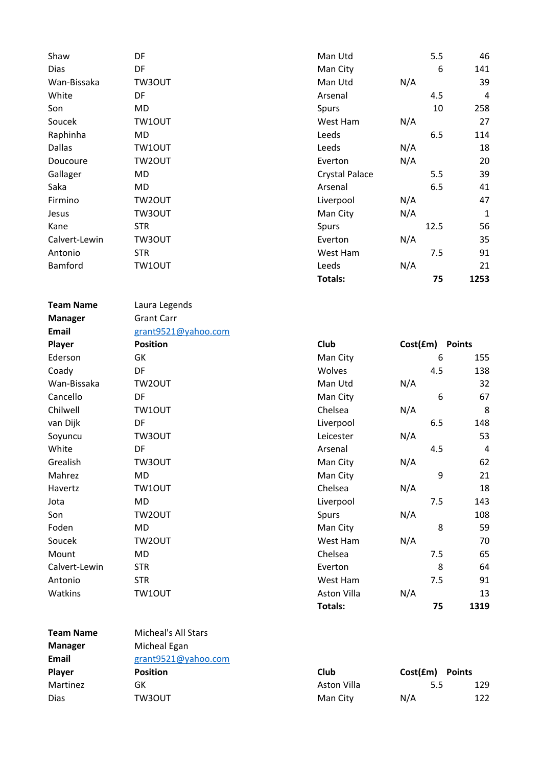| Shaw          | DF     | Man Utd        |     | 5.5  | 46          |
|---------------|--------|----------------|-----|------|-------------|
| <b>Dias</b>   | DF     | Man City       |     | 6    | 141         |
| Wan-Bissaka   | TW3OUT | Man Utd        | N/A |      | 39          |
| White         | DF.    | Arsenal        |     | 4.5  | 4           |
| Son           | MD     | Spurs          |     | 10   | 258         |
| Soucek        | TW10UT | West Ham       | N/A |      | 27          |
| Raphinha      | MD     | Leeds          |     | 6.5  | 114         |
| <b>Dallas</b> | TW10UT | Leeds          | N/A |      | 18          |
| Doucoure      | TW2OUT | Everton        | N/A |      | 20          |
| Gallager      | MD     | Crystal Palace |     | 5.5  | 39          |
| Saka          | MD.    | Arsenal        |     | 6.5  | 41          |
| Firmino       | TW2OUT | Liverpool      | N/A |      | 47          |
| Jesus         | TW3OUT | Man City       | N/A |      | $\mathbf 1$ |
| Kane          | STR    | Spurs          |     | 12.5 | 56          |
| Calvert-Lewin | TW3OUT | Everton        | N/A |      | 35          |
| Antonio       | STR    | West Ham       |     | 7.5  | 91          |
| Bamford       | TW1OUT | Leeds          | N/A |      | 21          |
|               |        | Totals:        |     | 75   | 1253        |
|               |        |                |     |      |             |

Team Name Laura Legends Manager Grant Carr

Email grant9521@yahoo.com

| <b>Player</b> | <b>Position</b> | Club        | Cost(£m) Points |     |
|---------------|-----------------|-------------|-----------------|-----|
| Ederson       | GK              | Man City    | 6               | 155 |
| Coady         | DF.             | Wolves      | 4.5             | 138 |
| Wan-Bissaka   | TW2OUT          | Man Utd     | N/A             | 32  |
| Cancello      | DF              | Man City    | 6               | 67  |
| Chilwell      | TW10UT          | Chelsea     | N/A             | 8   |
| van Dijk      | DF              | Liverpool   | 6.5             | 148 |
| Soyuncu       | TW3OUT          | Leicester   | N/A             | 53  |
| White         | DF              | Arsenal     | 4.5             | 4   |
| Grealish      | TW3OUT          | Man City    | N/A             | 62  |
| Mahrez        | MD              | Man City    | 9               | 21  |
| Havertz       | TW10UT          | Chelsea     | N/A             | 18  |
| Jota          | MD              | Liverpool   | 7.5             | 143 |
| Son           | TW2OUT          | Spurs       | N/A             | 108 |
| Foden         | MD              | Man City    | 8               | 59  |
| Soucek        | TW2OUT          | West Ham    | N/A             | 70  |
| Mount         | MD              | Chelsea     | 7.5             | 65  |
| Calvert-Lewin | <b>STR</b>      | Everton     | 8               | 64  |
| Antonio       | <b>STR</b>      | West Ham    | 7.5             | 91  |
| Watkins       | TW10UT          | Aston Villa | N/A             | 13  |

| <b>Team Name</b> | Micheal's All Stars |             |                           |     |
|------------------|---------------------|-------------|---------------------------|-----|
| <b>Manager</b>   | Micheal Egan        |             |                           |     |
| <b>Email</b>     | grant9521@yahoo.com |             |                           |     |
| Player           | <b>Position</b>     | Club        | Cost(fm)<br><b>Points</b> |     |
| Martinez         | GK                  | Aston Villa | 5.5                       | 129 |
| Dias             | TW3OUT              | Man City    | N/A                       | 122 |
|                  |                     |             |                           |     |

Totals: 75 1319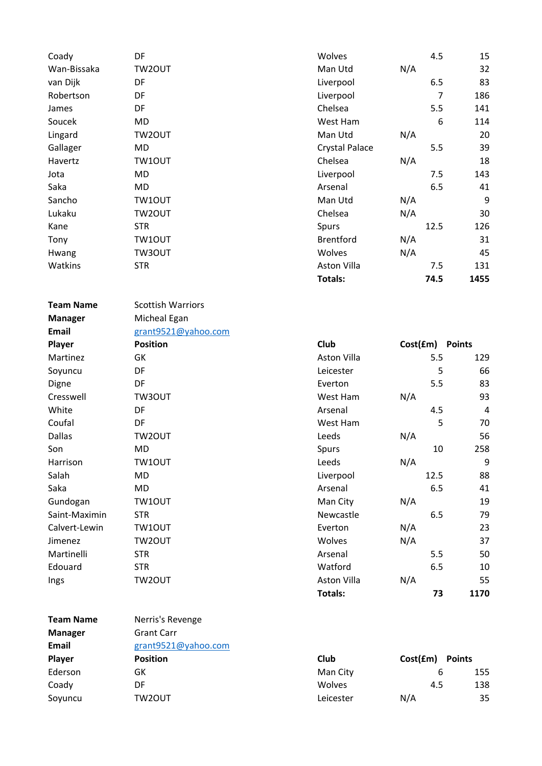| Coady            | DF                       | Wolves                | 4.5        | 15                    |
|------------------|--------------------------|-----------------------|------------|-----------------------|
| Wan-Bissaka      | TW2OUT                   | Man Utd               | N/A        | 32                    |
| van Dijk         | DF                       | Liverpool             | 6.5        | 83                    |
| Robertson        | DF                       | Liverpool             |            | $\overline{7}$<br>186 |
| James            | DF                       | Chelsea               | 5.5        | 141                   |
| Soucek           | <b>MD</b>                | West Ham              |            | 6<br>114              |
| Lingard          | TW2OUT                   | Man Utd               | N/A        | 20                    |
| Gallager         | <b>MD</b>                | <b>Crystal Palace</b> | 5.5        | 39                    |
| Havertz          | TW10UT                   | Chelsea               | N/A        | 18                    |
| Jota             | <b>MD</b>                | Liverpool             | 7.5        | 143                   |
| Saka             | <b>MD</b>                | Arsenal               | 6.5        | 41                    |
| Sancho           | TW10UT                   | Man Utd               | N/A        | 9                     |
| Lukaku           | TW2OUT                   | Chelsea               | N/A        | 30                    |
| Kane             | <b>STR</b>               | Spurs                 | 12.5       | 126                   |
| Tony             | TW10UT                   | <b>Brentford</b>      | N/A        | 31                    |
| Hwang            | TW3OUT                   | Wolves                | N/A        | 45                    |
| Watkins          | <b>STR</b>               | Aston Villa           | 7.5        |                       |
|                  |                          | <b>Totals:</b>        | 74.5       | 131<br>1455           |
|                  |                          |                       |            |                       |
| <b>Team Name</b> | <b>Scottish Warriors</b> |                       |            |                       |
| <b>Manager</b>   | Micheal Egan             |                       |            |                       |
| Email            | grant9521@yahoo.com      |                       |            |                       |
| Player           | <b>Position</b>          | Club                  | Cost(fm)   | <b>Points</b>         |
| Martinez         | GK                       | Aston Villa           | 5.5        | 129                   |
| Soyuncu          | DF                       | Leicester             |            | 5<br>66               |
| Digne            | DF                       | Everton               | 5.5        | 83                    |
| Cresswell        | TW3OUT                   | West Ham              | N/A        | 93                    |
| White            | DF                       | Arsenal               | 4.5        | 4                     |
| Coufal           | DF                       | West Ham              |            | 5<br>70               |
| <b>Dallas</b>    | TW2OUT                   | Leeds                 | N/A        | 56                    |
| Son              | <b>MD</b>                |                       |            | 258<br>10             |
| Harrison         | TW10UT                   | Spurs<br>Leeds        | N/A        | $\boldsymbol{9}$      |
| Salah            | MD                       | Liverpool             | 12.5       | 88                    |
| Saka             | <b>MD</b>                | Arsenal               | 6.5        | 41                    |
| Gundogan         | TW10UT                   |                       |            | 19                    |
| Saint-Maximin    | <b>STR</b>               | Man City<br>Newcastle | N/A<br>6.5 | 79                    |
| Calvert-Lewin    | TW10UT                   | Everton               | N/A        | 23                    |
| Jimenez          |                          | Wolves                |            | 37                    |
| Martinelli       | TW2OUT<br><b>STR</b>     | Arsenal               | N/A<br>5.5 | 50                    |
| Edouard          | <b>STR</b>               | Watford               | 6.5        |                       |
|                  |                          |                       |            | 10                    |
| Ings             | TW2OUT                   | Aston Villa           | N/A        | 55                    |
|                  |                          | Totals:               |            | 1170<br>73            |
| <b>Team Name</b> | Nerris's Revenge         |                       |            |                       |
| <b>Manager</b>   | <b>Grant Carr</b>        |                       |            |                       |
| Email            | grant9521@yahoo.com      |                       |            |                       |
| Player           | <b>Position</b>          | Club                  | Cost(fm)   | <b>Points</b>         |
| Ederson          | GK                       | Man City              |            | 6<br>155              |
| Coady            | DF                       | Wolves                | 4.5        | 138                   |
| Soyuncu          | TW2OUT                   | Leicester             | N/A        | 35                    |
|                  |                          |                       |            |                       |